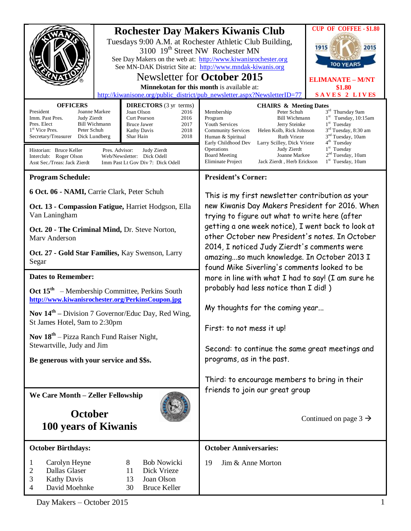|                                                                                                                                                                                                                                                                                                                                                                                                                                                                                                                                                                             | <b>Rochester Day Makers Kiwanis Club</b><br>Tuesdays 9:00 A.M. at Rochester Athletic Club Building,<br>3100 19 <sup>th</sup> Street NW Rochester MN<br>See Day Makers on the web at: http://www.kiwanisrochester.org<br>See MN-DAK District Site at: http://www.mndak-kiwanis.org<br><b>Newsletter for October 2015</b><br>Minnekotan for this month is available at:<br>http://kiwanisone.org/public_district/pub_newsletter.aspx?NewsletterID=77 | <b>CUP OF COFFEE - \$1.80</b><br>1915<br>2015<br>100 YEARS<br><b>ELIMANATE - M/NT</b><br>\$1.80<br>SAVES 2 LIVES                                                                                                                                                                                                                                                                                                       |                                                                                                                                                                                                                                                |
|-----------------------------------------------------------------------------------------------------------------------------------------------------------------------------------------------------------------------------------------------------------------------------------------------------------------------------------------------------------------------------------------------------------------------------------------------------------------------------------------------------------------------------------------------------------------------------|----------------------------------------------------------------------------------------------------------------------------------------------------------------------------------------------------------------------------------------------------------------------------------------------------------------------------------------------------------------------------------------------------------------------------------------------------|------------------------------------------------------------------------------------------------------------------------------------------------------------------------------------------------------------------------------------------------------------------------------------------------------------------------------------------------------------------------------------------------------------------------|------------------------------------------------------------------------------------------------------------------------------------------------------------------------------------------------------------------------------------------------|
| <b>OFFICERS</b><br><b>DIRECTORS</b> (3 yr terms)<br>President<br>Joanne Markee<br>Joan Olson<br>2016<br>Imm. Past Pres.<br>Judy Zierdt<br><b>Curt Pearson</b><br>2016<br>Pres. Elect<br><b>Bill Wichmann</b><br><b>Bruce Jawer</b><br>2017<br>1 <sup>st</sup> Vice Pres.<br>Peter Schuh<br><b>Kathy Davis</b><br>2018<br>Secretary/Treasurer<br>Dick Lundberg<br>2018<br>Shar Hain<br>Historian: Bruce Keller<br>Pres. Advisor:<br>Judy Zierdt<br>Interclub: Roger Olson<br>Web/Newsletter: Dick Odell<br>Asst Sec./Treas: Jack Zierdt<br>Imm Past Lt Gov Div 7: Dick Odell |                                                                                                                                                                                                                                                                                                                                                                                                                                                    | <b>CHAIRS &amp; Meeting Dates</b><br>Membership<br>Peter Schuh<br>Program<br><b>Bill Wichmann</b><br>Youth Services<br>Jerry Steinke<br><b>Community Services</b><br>Helen Kolb, Rick Johnson<br>Ruth Vrieze<br>Human & Spiritual<br>Early Childhood Dev<br>Larry Scilley, Dick Vrieze<br>Operations<br>Judy Zierdt<br>Joanne Markee<br><b>Board Meeting</b><br><b>Eliminate Project</b><br>Jack Zierdt, Herb Erickson | 3rd Thursday 9am<br>$1st$ Tuesday, 10:15am<br>$1st$ Tuesday<br>3 <sup>rd</sup> Tuesday, 8:30 am<br>3 <sup>nd</sup> Tuesday, 10am<br>4 <sup>th</sup> Tuesday<br>1 <sup>st</sup> Tuesday<br>2 <sup>nd</sup> Tuesday, 10am<br>$1st$ Tuesday, 10am |
| <b>Program Schedule:</b>                                                                                                                                                                                                                                                                                                                                                                                                                                                                                                                                                    |                                                                                                                                                                                                                                                                                                                                                                                                                                                    | <b>President's Corner:</b>                                                                                                                                                                                                                                                                                                                                                                                             |                                                                                                                                                                                                                                                |
| 6 Oct. 06 - NAMI, Carrie Clark, Peter Schuh<br>Oct. 13 - Compassion Fatigue, Harriet Hodgson, Ella<br>Van Laningham                                                                                                                                                                                                                                                                                                                                                                                                                                                         |                                                                                                                                                                                                                                                                                                                                                                                                                                                    | This is my first newsletter contribution as your<br>new Kiwanis Day Makers President for 2016. When<br>trying to figure out what to write here (after                                                                                                                                                                                                                                                                  |                                                                                                                                                                                                                                                |
| Oct. 20 - The Criminal Mind, Dr. Steve Norton,<br>Mary Anderson                                                                                                                                                                                                                                                                                                                                                                                                                                                                                                             |                                                                                                                                                                                                                                                                                                                                                                                                                                                    | getting a one week notice), I went back to look at<br>other October new President's notes. In October<br>2014, I noticed Judy Zierdt's comments were<br>amazingso much knowledge. In October 2013 I<br>found Mike Siverling's comments looked to be                                                                                                                                                                    |                                                                                                                                                                                                                                                |
| Oct. 27 - Gold Star Families, Kay Swenson, Larry<br>Segar                                                                                                                                                                                                                                                                                                                                                                                                                                                                                                                   |                                                                                                                                                                                                                                                                                                                                                                                                                                                    |                                                                                                                                                                                                                                                                                                                                                                                                                        |                                                                                                                                                                                                                                                |
| <b>Dates to Remember:</b>                                                                                                                                                                                                                                                                                                                                                                                                                                                                                                                                                   |                                                                                                                                                                                                                                                                                                                                                                                                                                                    | more in line with what I had to say! (I am sure he                                                                                                                                                                                                                                                                                                                                                                     |                                                                                                                                                                                                                                                |
| Oct 15 <sup>th</sup> – Membership Committee, Perkins South<br>http://www.kiwanisrochester.org/PerkinsCoupon.jpg                                                                                                                                                                                                                                                                                                                                                                                                                                                             |                                                                                                                                                                                                                                                                                                                                                                                                                                                    | probably had less notice than I did!)<br>My thoughts for the coming year                                                                                                                                                                                                                                                                                                                                               |                                                                                                                                                                                                                                                |
| <b>Nov <math>14th</math></b> – Division 7 Governor/Educ Day, Red Wing,<br>St James Hotel, 9am to 2:30pm                                                                                                                                                                                                                                                                                                                                                                                                                                                                     |                                                                                                                                                                                                                                                                                                                                                                                                                                                    |                                                                                                                                                                                                                                                                                                                                                                                                                        |                                                                                                                                                                                                                                                |
|                                                                                                                                                                                                                                                                                                                                                                                                                                                                                                                                                                             |                                                                                                                                                                                                                                                                                                                                                                                                                                                    | First: to not mess it up!                                                                                                                                                                                                                                                                                                                                                                                              |                                                                                                                                                                                                                                                |
| <b>Nov <math>18^{th}</math></b> – Pizza Ranch Fund Raiser Night,<br>Stewartville, Judy and Jim                                                                                                                                                                                                                                                                                                                                                                                                                                                                              |                                                                                                                                                                                                                                                                                                                                                                                                                                                    | Second: to continue the same great meetings and                                                                                                                                                                                                                                                                                                                                                                        |                                                                                                                                                                                                                                                |
| Be generous with your service and \$\$s.                                                                                                                                                                                                                                                                                                                                                                                                                                                                                                                                    |                                                                                                                                                                                                                                                                                                                                                                                                                                                    | programs, as in the past.                                                                                                                                                                                                                                                                                                                                                                                              |                                                                                                                                                                                                                                                |
|                                                                                                                                                                                                                                                                                                                                                                                                                                                                                                                                                                             |                                                                                                                                                                                                                                                                                                                                                                                                                                                    | Third: to encourage members to bring in their                                                                                                                                                                                                                                                                                                                                                                          |                                                                                                                                                                                                                                                |
| We Care Month - Zeller Fellowship                                                                                                                                                                                                                                                                                                                                                                                                                                                                                                                                           |                                                                                                                                                                                                                                                                                                                                                                                                                                                    | friends to join our great group                                                                                                                                                                                                                                                                                                                                                                                        |                                                                                                                                                                                                                                                |
|                                                                                                                                                                                                                                                                                                                                                                                                                                                                                                                                                                             |                                                                                                                                                                                                                                                                                                                                                                                                                                                    |                                                                                                                                                                                                                                                                                                                                                                                                                        |                                                                                                                                                                                                                                                |
| <b>October</b>                                                                                                                                                                                                                                                                                                                                                                                                                                                                                                                                                              |                                                                                                                                                                                                                                                                                                                                                                                                                                                    |                                                                                                                                                                                                                                                                                                                                                                                                                        | Continued on page $3 \rightarrow$                                                                                                                                                                                                              |
| 100 years of Kiwanis                                                                                                                                                                                                                                                                                                                                                                                                                                                                                                                                                        |                                                                                                                                                                                                                                                                                                                                                                                                                                                    |                                                                                                                                                                                                                                                                                                                                                                                                                        |                                                                                                                                                                                                                                                |
| <b>October Birthdays:</b>                                                                                                                                                                                                                                                                                                                                                                                                                                                                                                                                                   |                                                                                                                                                                                                                                                                                                                                                                                                                                                    | <b>October Anniversaries:</b>                                                                                                                                                                                                                                                                                                                                                                                          |                                                                                                                                                                                                                                                |
| Carolyn Heyne<br>1<br>Dallas Glaser<br>2<br>3<br><b>Kathy Davis</b><br>David Moehnke<br>4                                                                                                                                                                                                                                                                                                                                                                                                                                                                                   | 8<br><b>Bob Nowicki</b><br>11<br>Dick Vrieze<br>Joan Olson<br>13<br><b>Bruce Keller</b><br>30                                                                                                                                                                                                                                                                                                                                                      | Jim & Anne Morton<br>19                                                                                                                                                                                                                                                                                                                                                                                                |                                                                                                                                                                                                                                                |

Day Makers – October 2015 1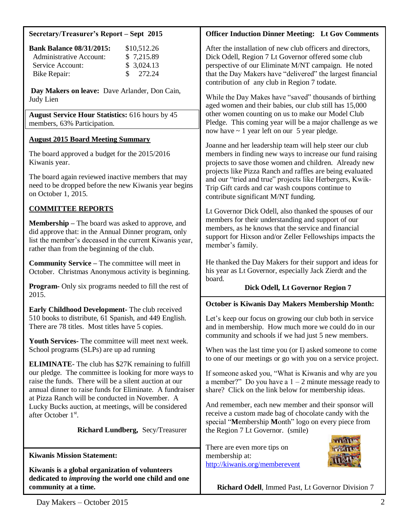## **Secretary/Treasurer's Report – Sept 2015**

| <b>Bank Balance 08/31/2015:</b> | \$10,512.26         |
|---------------------------------|---------------------|
| Administrative Account:         | \$7,215.89          |
| Service Account:                | \$3,024.13          |
| Bike Repair:                    | $\frac{\$}{272.24}$ |

**Day Makers on leave:** Dave Arlander, Don Cain, Judy Lien

**August Service Hour Statistics:** 616 hours by 45 members, 63% Participation.

### **August 2015 Board Meeting Summary**

The board approved a budget for the 2015/2016 Kiwanis year.

The board again reviewed inactive members that may need to be dropped before the new Kiwanis year begins on October 1, 2015.

# **COMMITTEE REPORTS**

**Membership –** The board was asked to approve, and did approve that: in the Annual Dinner program, only list the member's deceased in the current Kiwanis year, rather than from the beginning of the club.

**Community Service –** The committee will meet in October. Christmas Anonymous activity is beginning.

**Program-** Only six programs needed to fill the rest of 2015.

**Early Childhood Development-** The club received 510 books to distribute, 61 Spanish, and 449 English. There are 78 titles. Most titles have 5 copies.

**Youth Services-** The committee will meet next week. School programs (SLPs) are up ad running

**ELIMINATE**- The club has \$27K remaining to fulfill our pledge. The committee is looking for more ways to raise the funds. There will be a silent auction at our annual dinner to raise funds for Eliminate. A fundraiser at Pizza Ranch will be conducted in November. A Lucky Bucks auction, at meetings, will be considered after October 1<sup>st</sup>.

**Richard Lundberg,** Secy/Treasurer

**Kiwanis Mission Statement:**

**Kiwanis is a global organization of volunteers dedicated to** *improving* **the world one child and one community at a time.**

# **Officer Induction Dinner Meeting: Lt Gov Comments**

After the installation of new club officers and directors, Dick Odell, Region 7 Lt Governor offered some club perspective of our Eliminate M/NT campaign. He noted that the Day Makers have "delivered" the largest financial contribution of any club in Region 7 todate.

While the Day Makes have "saved" thousands of birthing aged women and their babies, our club still has 15,000 other women counting on us to make our Model Club Pledge. This coming year will be a major challenge as we now have  $\sim$  1 year left on our 5 year pledge.

Joanne and her leadership team will help steer our club members in finding new ways to increase our fund raising projects to save those women and children. Already new projects like Pizza Ranch and raffles are being evaluated and our "tried and true" projects like Herbergers, Kwik-Trip Gift cards and car wash coupons continue to contribute significant M/NT funding.

Lt Governor Dick Odell, also thanked the spouses of our members for their understanding and support of our members, as he knows that the service and financial support for Hixson and/or Zeller Fellowships impacts the member's family.

He thanked the Day Makers for their support and ideas for his year as Lt Governor, especially Jack Zierdt and the board.

## **Dick Odell, Lt Governor Region 7**

#### **October is Kiwanis Day Makers Membership Month:**

Let's keep our focus on growing our club both in service and in membership. How much more we could do in our community and schools if we had just 5 new members.

When was the last time you (or I) asked someone to come to one of our meetings or go with you on a service project.

If someone asked you, "What is Kiwanis and why are you a member?" Do you have a  $1 - 2$  minute message ready to share? Click on the link below for membership ideas.

And remember, each new member and their sponsor will receive a custom made bag of chocolate candy with the special "**M**embership **M**onth" logo on every piece from the Region 7 Lt Governor. (smile)

There are even more tips on membership at: <http://kiwanis.org/memberevent>



 **Richard Odell**, Immed Past, Lt Governor Division 7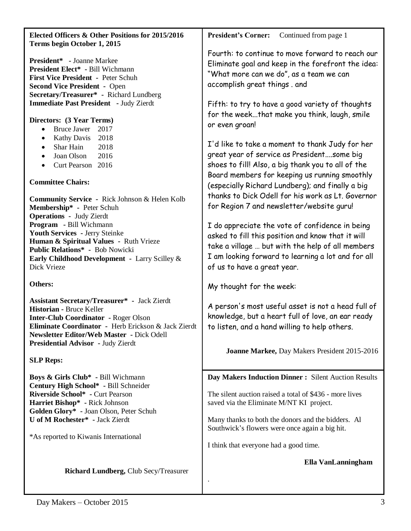| Elected Officers & Other Positions for 2015/2016<br>Terms begin October 1, 2015                                                                                                                                                                                                        | <b>President's Corner:</b><br>Continued from page 1                                                                                                                                                                                                                                                       |  |
|----------------------------------------------------------------------------------------------------------------------------------------------------------------------------------------------------------------------------------------------------------------------------------------|-----------------------------------------------------------------------------------------------------------------------------------------------------------------------------------------------------------------------------------------------------------------------------------------------------------|--|
| <b>President*</b> - Joanne Markee<br><b>President Elect*</b> - Bill Wichmann<br>First Vice President - Peter Schuh<br><b>Second Vice President - Open</b><br>Secretary/Treasurer* - Richard Lundberg<br>Immediate Past President - Judy Zierdt                                         | Fourth: to continue to move forward to reach our<br>Eliminate goal and keep in the forefront the idea:<br>"What more can we do", as a team we can<br>accomplish great things . and<br>Fifth: to try to have a good variety of thoughts<br>for the weekthat make you think, laugh, smile<br>or even groan! |  |
| Directors: (3 Year Terms)<br><b>Bruce Jawer</b><br>2017<br>$\bullet$                                                                                                                                                                                                                   |                                                                                                                                                                                                                                                                                                           |  |
| 2018<br><b>Kathy Davis</b><br>$\bullet$<br>2018<br>Shar Hain<br>$\bullet$<br>Joan Olson<br>2016<br>$\bullet$<br>Curt Pearson 2016<br>$\bullet$                                                                                                                                         | I'd like to take a moment to thank Judy for her<br>great year of service as Presidentsome big<br>shoes to fill! Also, a big thank you to all of the<br>Board members for keeping us running smoothly                                                                                                      |  |
| <b>Committee Chairs:</b><br><b>Community Service - Rick Johnson &amp; Helen Kolb</b><br>Membership* - Peter Schuh                                                                                                                                                                      | (especially Richard Lundberg); and finally a big<br>thanks to Dick Odell for his work as Lt. Governor<br>for Region 7 and newsletter/website guru!                                                                                                                                                        |  |
| <b>Operations - Judy Zierdt</b><br>Program - Bill Wichmann<br>Youth Services - Jerry Steinke<br>Human & Spiritual Values - Ruth Vrieze<br>Public Relations* - Bob Nowicki<br>Early Childhood Development - Larry Scilley &<br>Dick Vrieze                                              | I do appreciate the vote of confidence in being<br>asked to fill this position and know that it will<br>take a village  but with the help of all members<br>I am looking forward to learning a lot and for all<br>of us to have a great year.                                                             |  |
| Others:                                                                                                                                                                                                                                                                                | My thought for the week:                                                                                                                                                                                                                                                                                  |  |
| <b>Assistant Secretary/Treasurer*</b> - Jack Zierdt<br>Historian - Bruce Keller<br><b>Inter-Club Coordinator - Roger Olson</b><br><b>Eliminate Coordinator</b> - Herb Erickson & Jack Zierdt<br>Newsletter Editor/Web Master - Dick Odell<br><b>Presidential Advisor</b> - Judy Zierdt | A person's most useful asset is not a head full of<br>knowledge, but a heart full of love, an ear ready<br>to listen, and a hand willing to help others.                                                                                                                                                  |  |
| <b>SLP Reps:</b>                                                                                                                                                                                                                                                                       | Joanne Markee, Day Makers President 2015-2016                                                                                                                                                                                                                                                             |  |
| Boys & Girls Club* - Bill Wichmann<br>Century High School* - Bill Schneider<br>Riverside School* - Curt Pearson                                                                                                                                                                        | Day Makers Induction Dinner: Silent Auction Results<br>The silent auction raised a total of \$436 - more lives                                                                                                                                                                                            |  |
| Harriet Bishop* - Rick Johnson<br>Golden Glory* - Joan Olson, Peter Schuh<br>U of M Rochester* - Jack Zierdt                                                                                                                                                                           | saved via the Eliminate M/NT KI project.<br>Many thanks to both the donors and the bidders. All                                                                                                                                                                                                           |  |
| *As reported to Kiwanis International                                                                                                                                                                                                                                                  | Southwick's flowers were once again a big hit.<br>I think that everyone had a good time.                                                                                                                                                                                                                  |  |
|                                                                                                                                                                                                                                                                                        | Ella VanLanningham                                                                                                                                                                                                                                                                                        |  |
| Richard Lundberg, Club Secy/Treasurer                                                                                                                                                                                                                                                  |                                                                                                                                                                                                                                                                                                           |  |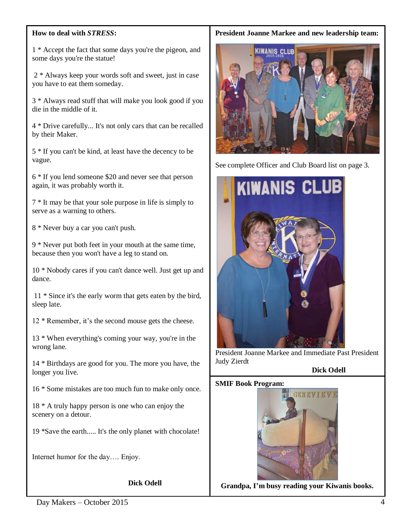### **How to deal with** *STRESS***:**

1 \* Accept the fact that some days you're the pigeon, and some days you're the statue!

2 \* Always keep your words soft and sweet, just in case you have to eat them someday.

3 \* Always read stuff that will make you look good if you die in the middle of it.

4 \* Drive carefully... It's not only cars that can be recalled by their Maker.

5 \* If you can't be kind, at least have the decency to be vague.

6 \* If you lend someone \$20 and never see that person again, it was probably worth it.

7 \* It may be that your sole purpose in life is simply to serve as a warning to others.

8 \* Never buy a car you can't push.

9 \* Never put both feet in your mouth at the same time, because then you won't have a leg to stand on.

10 \* Nobody cares if you can't dance well. Just get up and dance.

11 \* Since it's the early worm that gets eaten by the bird, sleep late.

12 \* Remember, it's the second mouse gets the cheese.

13 \* When everything's coming your way, you're in the wrong lane.

14 \* Birthdays are good for you. The more you have, the longer you live.

16 \* Some mistakes are too much fun to make only once.

18 \* A truly happy person is one who can enjoy the scenery on a detour.

19 \*Save the earth..... It's the only planet with chocolate!

Internet humor for the day…. Enjoy.

**Dick Odell**

#### **President Joanne Markee and new leadership team:**



See complete Officer and Club Board list on page 3.



President Joanne Markee and Immediate Past President Judy Zierdt

**Dick Odell**

#### **SMIF Book Program:**



**Grandpa, I'm busy reading your Kiwanis books.**